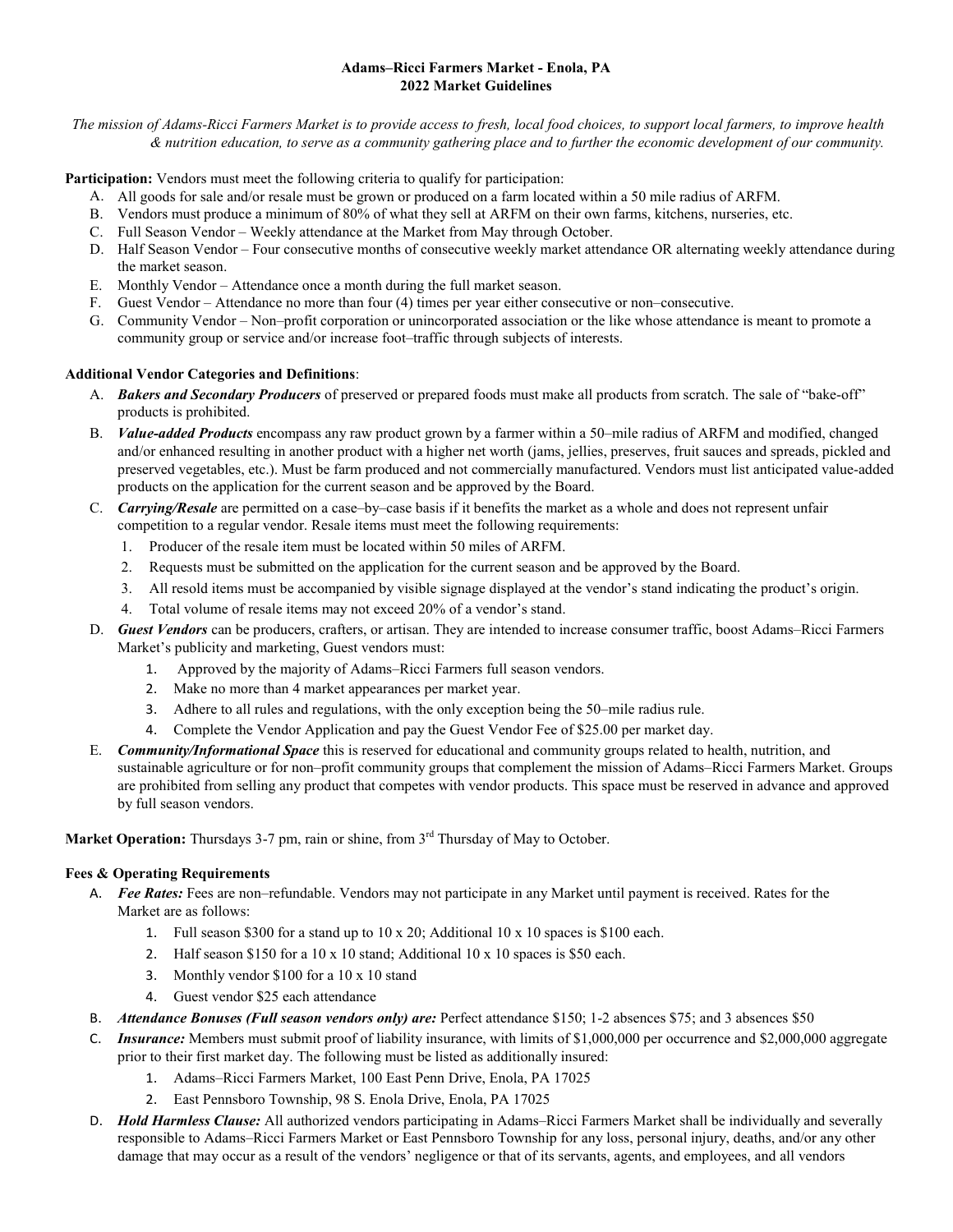## **Adams–Ricci Farmers Market - Enola, PA 2022 Market Guidelines**

*The mission of Adams-Ricci Farmers Market is to provide access to fresh, local food choices, to support local farmers, to improve health & nutrition education, to serve as a community gathering place and to further the economic development of our community.*

Participation: Vendors must meet the following criteria to qualify for participation:

- A. All goods for sale and/or resale must be grown or produced on a farm located within a 50 mile radius of ARFM.
- B. Vendors must produce a minimum of 80% of what they sell at ARFM on their own farms, kitchens, nurseries, etc.
- C. Full Season Vendor Weekly attendance at the Market from May through October.
- D. Half Season Vendor Four consecutive months of consecutive weekly market attendance OR alternating weekly attendance during the market season.
- E. Monthly Vendor Attendance once a month during the full market season.
- F. Guest Vendor Attendance no more than four (4) times per year either consecutive or non–consecutive.
- G. Community Vendor Non–profit corporation or unincorporated association or the like whose attendance is meant to promote a community group or service and/or increase foot–traffic through subjects of interests.

## **Additional Vendor Categories and Definitions**:

- A. *Bakers and Secondary Producers* of preserved or prepared foods must make all products from scratch. The sale of "bake-off" products is prohibited.
- B. *Value-added Products* encompass any raw product grown by a farmer within a 50–mile radius of ARFM and modified, changed and/or enhanced resulting in another product with a higher net worth (jams, jellies, preserves, fruit sauces and spreads, pickled and preserved vegetables, etc.). Must be farm produced and not commercially manufactured. Vendors must list anticipated value-added products on the application for the current season and be approved by the Board.
- C. *Carrying/Resale* are permitted on a case–by–case basis if it benefits the market as a whole and does not represent unfair competition to a regular vendor. Resale items must meet the following requirements:
	- 1. Producer of the resale item must be located within 50 miles of ARFM.
	- 2. Requests must be submitted on the application for the current season and be approved by the Board.
	- 3. All resold items must be accompanied by visible signage displayed at the vendor's stand indicating the product's origin.
	- 4. Total volume of resale items may not exceed 20% of a vendor's stand.
- D. *Guest Vendors* can be producers, crafters, or artisan. They are intended to increase consumer traffic, boost Adams–Ricci Farmers Market's publicity and marketing, Guest vendors must:
	- 1. Approved by the majority of Adams–Ricci Farmers full season vendors.
	- 2. Make no more than 4 market appearances per market year.
	- 3. Adhere to all rules and regulations, with the only exception being the 50–mile radius rule.
	- 4. Complete the Vendor Application and pay the Guest Vendor Fee of \$25.00 per market day.
- E. *Community/Informational Space* this is reserved for educational and community groups related to health, nutrition, and sustainable agriculture or for non–profit community groups that complement the mission of Adams–Ricci Farmers Market. Groups are prohibited from selling any product that competes with vendor products. This space must be reserved in advance and approved by full season vendors.

Market Operation: Thursdays 3-7 pm, rain or shine, from 3<sup>rd</sup> Thursday of May to October.

## **Fees & Operating Requirements**

- A. *Fee Rates:* Fees are non–refundable. Vendors may not participate in any Market until payment is received. Rates for the Market are as follows:
	- 1. Full season \$300 for a stand up to 10 x 20; Additional 10 x 10 spaces is \$100 each.
	- 2. Half season \$150 for a 10 x 10 stand; Additional 10 x 10 spaces is \$50 each.
	- 3. Monthly vendor \$100 for a 10 x 10 stand
	- 4. Guest vendor \$25 each attendance
- B. *Attendance Bonuses (Full season vendors only) are:* Perfect attendance \$150; 1-2 absences \$75; and 3 absences \$50
- C. *Insurance:* Members must submit proof of liability insurance, with limits of \$1,000,000 per occurrence and \$2,000,000 aggregate prior to their first market day. The following must be listed as additionally insured:
	- 1. Adams–Ricci Farmers Market, 100 East Penn Drive, Enola, PA 17025
	- 2. East Pennsboro Township, 98 S. Enola Drive, Enola, PA 17025
- D. *Hold Harmless Clause:* All authorized vendors participating in Adams–Ricci Farmers Market shall be individually and severally responsible to Adams–Ricci Farmers Market or East Pennsboro Township for any loss, personal injury, deaths, and/or any other damage that may occur as a result of the vendors' negligence or that of its servants, agents, and employees, and all vendors